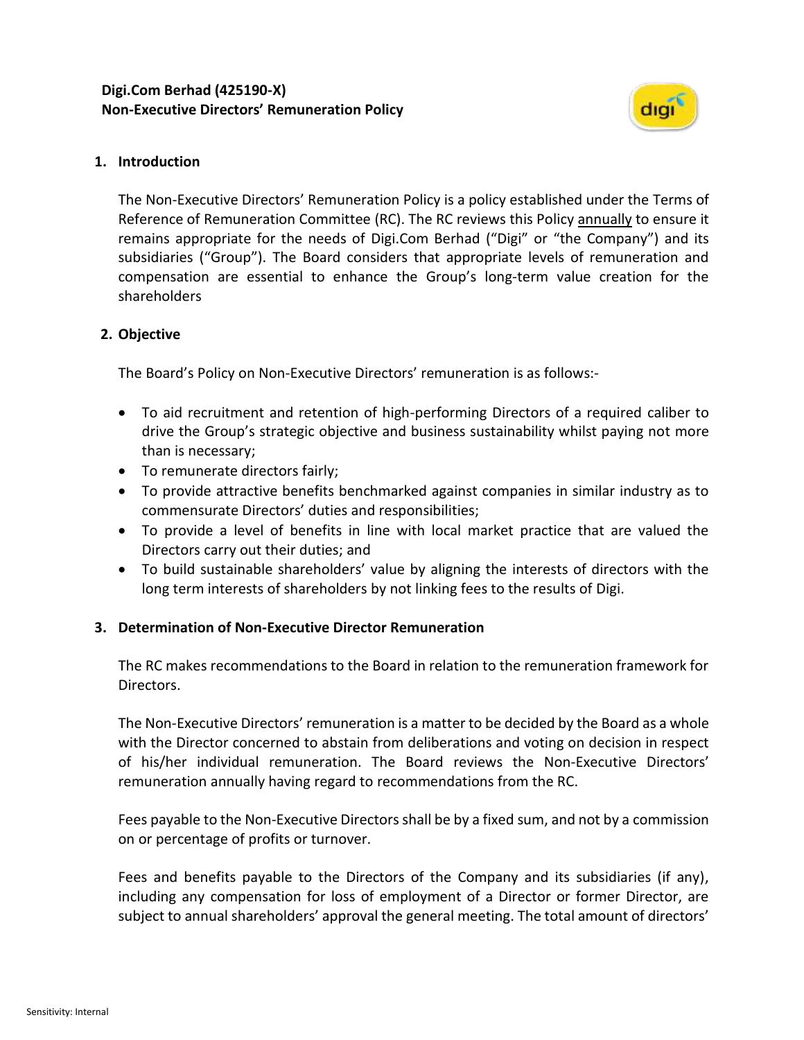

#### **1. Introduction**

The Non-Executive Directors' Remuneration Policy is a policy established under the Terms of Reference of Remuneration Committee (RC). The RC reviews this Policy annually to ensure it remains appropriate for the needs of Digi.Com Berhad ("Digi" or "the Company") and its subsidiaries ("Group"). The Board considers that appropriate levels of remuneration and compensation are essential to enhance the Group's long-term value creation for the shareholders

## **2. Objective**

The Board's Policy on Non-Executive Directors' remuneration is as follows:-

- To aid recruitment and retention of high-performing Directors of a required caliber to drive the Group's strategic objective and business sustainability whilst paying not more than is necessary;
- To remunerate directors fairly;
- To provide attractive benefits benchmarked against companies in similar industry as to commensurate Directors' duties and responsibilities;
- To provide a level of benefits in line with local market practice that are valued the Directors carry out their duties; and
- To build sustainable shareholders' value by aligning the interests of directors with the long term interests of shareholders by not linking fees to the results of Digi.

# **3. Determination of Non-Executive Director Remuneration**

The RC makes recommendations to the Board in relation to the remuneration framework for Directors.

The Non-Executive Directors' remuneration is a matter to be decided by the Board as a whole with the Director concerned to abstain from deliberations and voting on decision in respect of his/her individual remuneration. The Board reviews the Non-Executive Directors' remuneration annually having regard to recommendations from the RC.

Fees payable to the Non-Executive Directors shall be by a fixed sum, and not by a commission on or percentage of profits or turnover.

Fees and benefits payable to the Directors of the Company and its subsidiaries (if any), including any compensation for loss of employment of a Director or former Director, are subject to annual shareholders' approval the general meeting. The total amount of directors'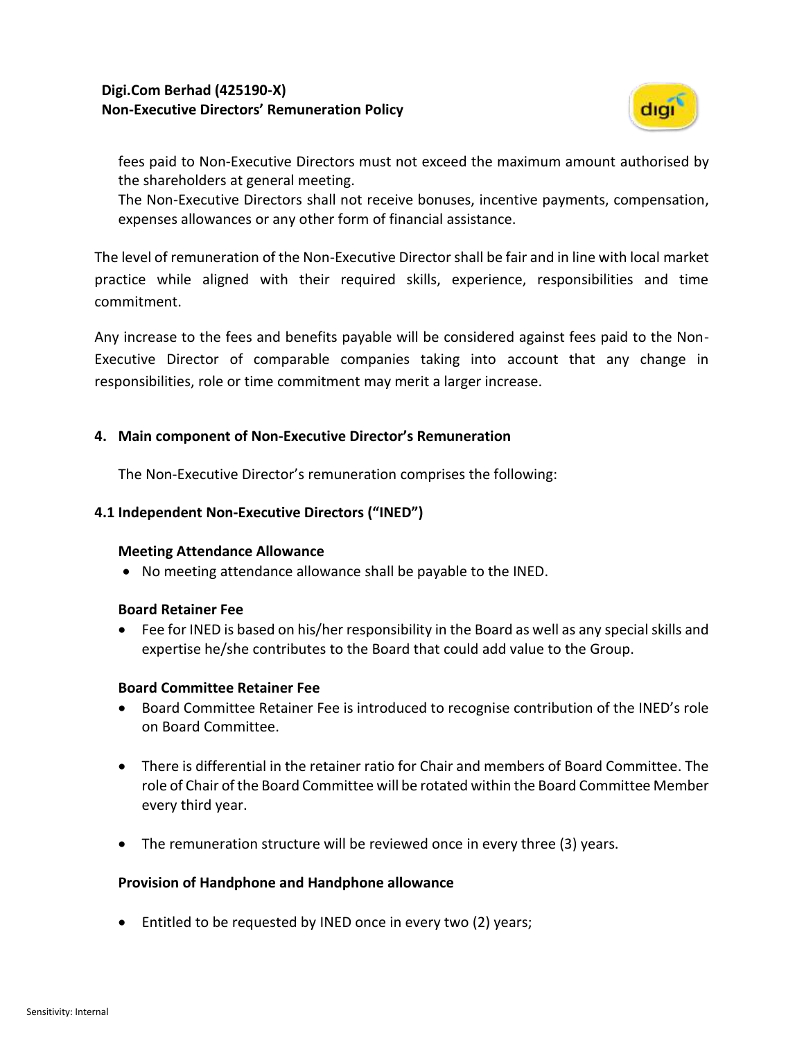## **Digi.Com Berhad (425190-X) Non-Executive Directors' Remuneration Policy**



fees paid to Non-Executive Directors must not exceed the maximum amount authorised by the shareholders at general meeting.

The Non-Executive Directors shall not receive bonuses, incentive payments, compensation, expenses allowances or any other form of financial assistance.

The level of remuneration of the Non-Executive Director shall be fair and in line with local market practice while aligned with their required skills, experience, responsibilities and time commitment.

Any increase to the fees and benefits payable will be considered against fees paid to the Non-Executive Director of comparable companies taking into account that any change in responsibilities, role or time commitment may merit a larger increase.

## **4. Main component of Non-Executive Director's Remuneration**

The Non-Executive Director's remuneration comprises the following:

## **4.1 Independent Non-Executive Directors ("INED")**

#### **Meeting Attendance Allowance**

• No meeting attendance allowance shall be payable to the INED.

#### **Board Retainer Fee**

• Fee for INED is based on his/her responsibility in the Board as well as any special skills and expertise he/she contributes to the Board that could add value to the Group.

#### **Board Committee Retainer Fee**

- Board Committee Retainer Fee is introduced to recognise contribution of the INED's role on Board Committee.
- There is differential in the retainer ratio for Chair and members of Board Committee. The role of Chair of the Board Committee will be rotated within the Board Committee Member every third year.
- The remuneration structure will be reviewed once in every three (3) years.

#### **Provision of Handphone and Handphone allowance**

• Entitled to be requested by INED once in every two (2) years;